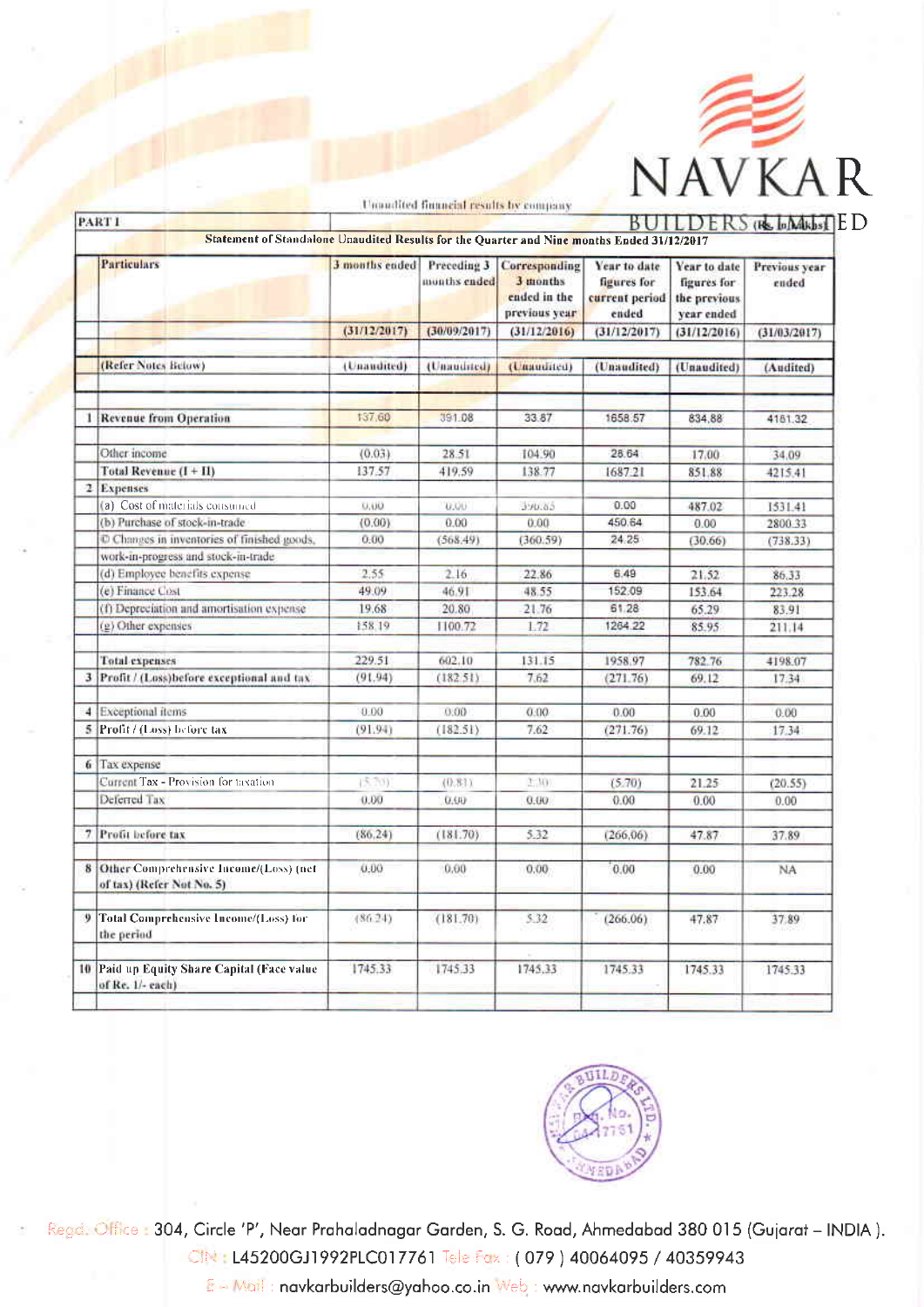

|               |                                                                                            |                |                             | Unaudited financial results by company                     |                                                        |                                                           |                        |
|---------------|--------------------------------------------------------------------------------------------|----------------|-----------------------------|------------------------------------------------------------|--------------------------------------------------------|-----------------------------------------------------------|------------------------|
|               | <b>PART I</b>                                                                              |                |                             |                                                            |                                                        |                                                           | $DERS$ ( $B$ , $b$ $M$ |
|               | Statement of Standalone Unaudited Results for the Quarter and Nine months Ended 31/12/2017 |                |                             |                                                            |                                                        |                                                           |                        |
|               | <b>Particulars</b>                                                                         | 3 months ended | Preceding 3<br>months ended | Corresponding<br>3 months<br>ended in the<br>previous year | Year to date<br>figures for<br>current period<br>ended | Year to date<br>figures for<br>the previous<br>year ended | Previous year<br>ended |
|               |                                                                                            | (31/12/2017)   | (30/09/2017)                | (31/12/2016)                                               | (31/12/2017)                                           | (31/12/2016)                                              | (31/03/2017)           |
|               |                                                                                            |                |                             |                                                            |                                                        |                                                           |                        |
|               | (Refer Notes Below)                                                                        | (Unaudited)    | (Unandited)                 | (Unaudited)                                                | (Unaudited)                                            | (Unaudited)                                               | (Audited)              |
|               | 1 Revenue from Operation                                                                   | 137,60         | 391.08                      | 33 87                                                      | 1658.57                                                | 834.88                                                    | 4181.32                |
|               |                                                                                            |                |                             |                                                            |                                                        |                                                           |                        |
|               | Other income                                                                               | (0.03)         | 28.51                       | 104.90                                                     | 28.64                                                  | 17.00                                                     | 34.09                  |
|               | Total Revenue (I+II)                                                                       | 137.57         | 419.59                      | 138.77                                                     | 1687.21                                                | 851.88                                                    | 4215.41                |
|               | 2 Expenses                                                                                 |                |                             |                                                            |                                                        |                                                           |                        |
|               | (a) Cost of materials consumed                                                             | 0.00           | 0.00                        | 3.95.85                                                    | 0.00                                                   | 487.02                                                    | 1531.41                |
|               | (b) Purchase of stock-in-trade                                                             | (0.00)         | 0.00                        | 0.00                                                       | 450.64                                                 | 0.00                                                      | 2800.33                |
|               | Changes in inventories of finished goods,                                                  | 0.00           | (568.49)                    | (360.59)                                                   | 24.25                                                  | (30.66)                                                   | (738.33)               |
|               | work-in-progress and stock-in-trade                                                        |                |                             |                                                            |                                                        |                                                           |                        |
|               | (d) Employee benefits expense                                                              | 2.55           | 2.16                        | 22.86                                                      | 6.49                                                   | 21.52                                                     | 86.33                  |
|               | (e) Finance Cost                                                                           | 49.09          | 46.91                       | 48.55                                                      | 152.09                                                 | 153.64                                                    | 223.28                 |
|               | (f) Depreciation and amortisation expense                                                  | 19.68          | 20.80                       | 21.76                                                      | 61.28                                                  | 65.29                                                     | 83.91                  |
|               | (g) Other expenses                                                                         | 158.19         | 1100.72                     | 1.72                                                       | 1264.22                                                | 85.95                                                     | 211.14                 |
|               | <b>Total expenses</b>                                                                      | 229.51         | 602.10                      | 131.15                                                     | 1958.97                                                | 782.76                                                    | 4198.07                |
|               | 3 Profit / (Loss) before exceptional and tax                                               | (91.94)        | (182.51)                    | 7.62                                                       | (271.76)                                               | 69.12                                                     | 17.34                  |
| $\frac{4}{3}$ | Exceptional items                                                                          | 0.00           | 0.00                        | 0.00                                                       | 0.00                                                   | 0.00                                                      | 0.00                   |
|               | 5 Profit / (Loss) before tax                                                               | (91.94)        | (182.51)                    | 7.62                                                       | (271.76)                                               | 69.12                                                     | 17.34                  |
|               | 6 Tax expense                                                                              |                |                             |                                                            |                                                        |                                                           |                        |
|               | Current Tax - Provision for taxation                                                       | (5.70)         | (0.81)                      | 2:30)                                                      | (5.70)                                                 | 21.25                                                     | (20.55)                |
|               | Deferred Tax                                                                               | 0.00           | 0.00                        | 0.00.                                                      | 0.00                                                   | 0.00                                                      | 0.00                   |
|               | 7 Profit before tax                                                                        | (86.24)        | (181.70)                    | 5.32                                                       | (266, 06)                                              | 47.87                                                     | 37.89                  |
|               | 8 Other Comprehensive Income/(Loss) (net<br>of tax) (Refer Not No. 5)                      | 0.00           | 0.00                        | 0.00.                                                      | 0.00                                                   | 0.00                                                      | NA                     |
| 9             | <b>Total Comprehensive Income/(Loss) for</b><br>the period                                 | (86.24)        | (181.70)                    | 5.32                                                       | (266.06)                                               | 47.87                                                     | 37.89                  |
|               | 10 Paid up Equity Share Capital (Face value<br>of Re. 1/- cach).                           | 1745.33        | 1745.33                     | 1745.33                                                    | 1745.33                                                | 1745.33                                                   | 1745.33                |
|               |                                                                                            |                |                             |                                                            |                                                        |                                                           |                        |



Regd. Office: 304, Circle 'P', Near Prahaladnagar Garden, S. G. Road, Ahmedabad 380 015 (Gujarat - INDIA). CIN: L45200GJ1992PLC017761 Tele Fax: (079) 40064095 / 40359943

E - Mail: navkarbuilders@yahoo.co.in Web: www.navkarbuilders.com